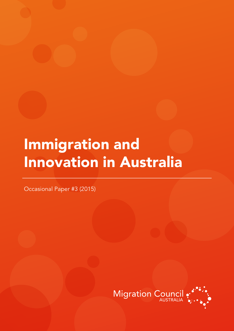# Immigration and Innovation in Australia

Occasional Paper #3 (2015)

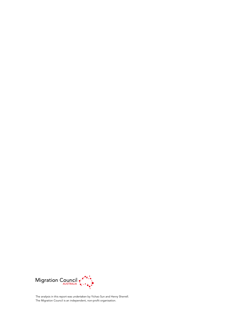

The analysis in this report was undertaken by Yichao Sun and Henry Sherrell. The Migration Council is an independent, non-profit organisation.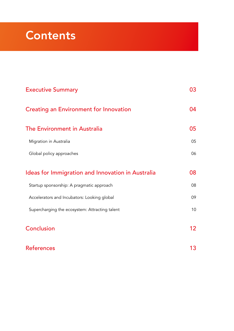# **Contents**

| <b>Executive Summary</b>                          | 03 |
|---------------------------------------------------|----|
| <b>Creating an Environment for Innovation</b>     | 04 |
| The Environment in Australia                      | 05 |
| Migration in Australia                            | 05 |
| Global policy approaches                          | 06 |
| Ideas for Immigration and Innovation in Australia | 08 |
| Startup sponsorship: A pragmatic approach         | 08 |
| Accelerators and Incubators: Looking global       | 09 |
| Supercharging the ecosystem: Attracting talent    | 10 |
| Conclusion                                        | 12 |
| <b>References</b>                                 | 13 |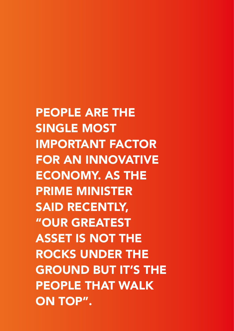PEOPLE ARE THE SINGLE MOST IMPORTANT FACTOR FOR AN INNOVATIVE ECONOMY. AS THE PRIME MINISTER SAID RECENTLY, "OUR GREATEST ASSET IS NOT THE ROCKS UNDER THE GROUND BUT IT'S THE PEOPLE THAT WALK ON TOP".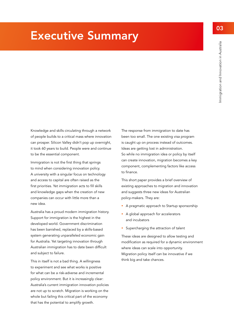## <span id="page-4-0"></span>Executive Summary

Knowledge and skills circulating through a network of people builds to a critical mass where innovation can prosper. Silicon Valley didn't pop up overnight, it took 60 years to build. People were and continue to be the essential component.

Immigration is not the first thing that springs to mind when considering innovation policy. A university with a singular focus on technology and access to capital are often raised as the first priorities. Yet immigration acts to fill skills and knowledge gaps when the creation of new companies can occur with little more than a new idea.

Australia has a proud modern immigration history. Support for immigration is the highest in the developed world. Government discrimination has been banished, replaced by a skills-based system generating unparalleled economic gain for Australia. Yet targeting innovation through Australian immigration has to date been difficult and subject to failure.

This in itself is not a bad thing. A willingness to experiment and see what works is positive for what can be a risk-adverse and incremental policy environment. But it is increasingly clear: Australia's current immigration innovation policies are not up to scratch. Migration is working on the whole but failing this critical part of the economy that has the potential to amplify growth.

The response from immigration to date has been too small. The one existing visa program is caught up on process instead of outcomes. Ideas are getting lost in administration. So while no immigration idea or policy by itself can create innovation, migration becomes a key component, complementing factors like access to finance.

This short paper provides a brief overview of existing approaches to migration and innovation and suggests three new ideas for Australian policy‑makers. They are:

- A pragmatic approach to Startup sponsorship
- A global approach for accelerators and incubators
- **Supercharging the attraction of talent**

These ideas are designed to allow testing and modification as required for a dynamic environment where ideas can scale into opportunity. Migration policy itself can be innovative if we think big and take chances.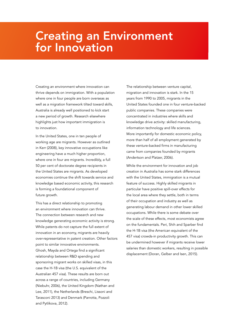## <span id="page-5-0"></span>Creating an Environment for Innovation

Creating an environment where innovation can thrive depends on immigration. With a population where one in four people are born overseas as well as a migration framework tilted toward skills, Australia is already well positioned to kick start a new period of growth. Research elsewhere highlights just how important immigration is to innovation.

In the United States, one in ten people of working age are migrants. However as outlined in Kerr (2008), key innovative occupations like engineering have a much higher proportion, where one in four are migrants. Incredibly, a full 50 per cent of doctorate degree recipients in the United States are migrants. As developed economies continue the shift towards service and knowledge based economic activity, this research is forming a foundational component of future growth.

This has a direct relationship to promoting an environment where innovation can thrive. The connection between research and new knowledge generating economic activity is strong. While patents do not capture the full extent of innovation in an economy, migrants are heavily over-representative in patent creation. Other factors point to similar innovative environments. Ghosh, Mayda and Ortega find a significant relationship between R&D spending and sponsoring migrant works on skilled visas, in this case the H-1B visa (the U.S. equivalent of the Australian 457 visa). These results are born out across a range of countries, including Germany (Niebuhr, 2006), the United Kingdom (Nathan and Lee, 2011), the Netherlands (Breschi, Lissoni and Tarasconi 2013) and Denmark (Parrotta, Pozzoli and Pytlikova, 2012).

The relationship between venture capital, migration and innovation is stark. In the 15 years from 1990 to 2005, migrants in the United States founded one in four venture‑backed public companies. These companies were concentrated in industries where skills and knowledge drive activity: skilled manufacturing, information technology and life sciences. More importantly for domestic economic policy, more than half of all employment generated by these venture-backed firms in manufacturing came from companies founded by migrants (Andertson and Platzer, 2006).

While the environment for innovation and job creation in Australia has some stark differences with the United States, immigration is a mutual feature of success. Highly skilled migrants in particular have positive spill-over effects for the local area where they settle, both in terms of their occupation and industry as well as generating labour demand in other lower skilled occupations. While there is some debate over the scale of these effects, most economists agree on the fundamentals. Peri, Shih and Sparber find the H-1B visa (the American equivalent of the 457 visa) crowds-in productivity growth. This can be undermined however if migrants receive lower salaries than domestic workers, resulting in possible displacement (Doran, Gelber and Isen, 2015).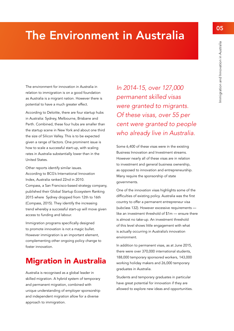# <span id="page-6-0"></span>The Environment in Australia

The environment for innovation in Australia in relation to immigration is on a good foundation as Australia is a migrant nation. However there is potential to have a much greater effect.

According to Deloitte, there are four startup hubs in Australia: Sydney, Melbourne, Brisbane and Perth. Combined, these four hubs are smaller than the startup scene in New York and about one third the size of Silicon Valley. This is to be expected given a range of factors. One prominent issue is how to scale a successful start-up, with scaling rates in Australia substantially lower than in the United States.

Other reports identify similar issues. According to BCG's International Innovation Index, Australia ranked 22nd in 2010. Compass, a San Francisco-based strategy company, published their Global Startup Ecosystem Ranking 2015 where Sydney dropped from 12th to 16th (Compass, 2015). They identify the increasing trend whereby a successful start-up will move given access to funding and labour.

Immigration programs specifically designed to promote innovation is not a magic bullet. However immigration is an important element, complementing other ongoing policy change to foster innovation.

#### Migration in Australia

Australia is recognised as a global leader in skilled migration. A hybrid system of temporary and permanent migration, combined with unique understanding of employer sponsorship and independent migration allow for a diverse approach to immigration.

*In 2014-15, over 127,000 permanent skilled visas were granted to migrants. Of these visas, over 55 per cent were granted to people who already live in Australia.* 

Some 6,400 of these visas were in the existing Business Innovation and Investment streams. However nearly all of these visas are in relation to investment and general business ownership, as opposed to innovation and entrepreneurship. Many require the sponsorship of state governments.

One of the innovation visas highlights some of the difficulties of existing policy. Australia was the first country to offer a permanent entrepreneur visa (subclass 132). However excessive requirements like an investment threshold of \$1m — ensure there is almost no take-up. An investment threshold of this level shows little engagement with what is actually occurring in Australia's innovation environment.

In addition to permanent visas, as at June 2015, there were over 370,000 international students, 188,000 temporary sponsored workers, 143,000 working holiday makers and 26,000 temporary graduates in Australia.

Students and temporary graduates in particular have great potential for innovation if they are allowed to explore new ideas and opportunities.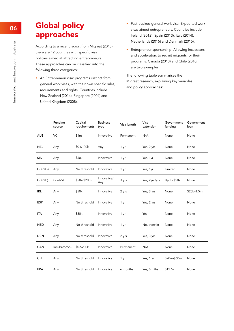### <span id="page-7-0"></span>Global policy approaches

According to a recent report from Migreat (2015), there are 12 countries with specific visa policies aimed at attracting entrepreneurs. These approaches can be classified into the following three categories:

An Entrepreneur visa: programs distinct from general work visas, with their own specific rules, requirements and rights. Countries include New Zealand (2014), Singapore (2004) and United Kingdom (2008).

- **Fast-tracked general work visa: Expedited work** visas aimed entrepreneurs. Countries include Ireland (2012), Spain (2013), Italy (2014), Netherlands (2015) and Denmark (2015).
- **Entrepreneur sponsorship: Allowing incubators** and accelerators to recruit migrants for their programs. Canada (2013) and Chile (2010) are two examples.

The following table summarises the Migreat research, explaining key variables and policy approaches:

|            | Funding<br>source | Capital<br>requirements | <b>Business</b><br>type | Visa length | Visa<br>extension | Government<br>funding | Government<br>loan |
|------------|-------------------|-------------------------|-------------------------|-------------|-------------------|-----------------------|--------------------|
| <b>AUS</b> | VC                | \$1m                    | Innovative              | Permanent   | N/A               | None                  | None               |
| <b>NZL</b> | Any               | \$0-\$100k              | Any                     | 1 yr        | Yes, 2 yrs        | None                  | None               |
| SIN        | Any               | \$50k                   | Innovative              | 1 yr        | Yes, 1yr          | None                  | None               |
| GBR(G)     | Any               | No threshold            | Innovative              | 1 yr        | Yes, 1yr          | Limited               | None               |
| GBR(E)     | Govt/VC           | \$50k-\$200k            | Innovative/<br>Any      | 3 yrs       | Yes, 2yr/3yrs     | Up to \$50k           | None               |
| irl        | Any               | \$50k                   | Innovative              | 2 yrs       | Yes, 3 yrs        | None                  | $$25k-1.5m$        |
| <b>ESP</b> | Any               | No threshold            | Innovative              | 1 yr        | Yes, 2 yrs        | None                  | None               |
| <b>ITA</b> | Any               | \$50k                   | Innovative              | 1 yr        | Yes               | None                  | None               |
| <b>NED</b> | Any               | No threshold            | Innovative              | 1 yr        | No, transfer      | None                  | None               |
| <b>DEN</b> | Any               | No threshold            | Innovative              | 2 yrs       | Yes, 3 yrs        | None                  | None               |
| <b>CAN</b> | Incubator/VC      | \$0-\$200k              | Innovative              | Permanent   | N/A               | None                  | None               |
| <b>CHI</b> | Any               | No threshold            | Innovative              | 1 yr        | Yes, 1 yr         | \$20m-\$60m           | None               |
| <b>FRA</b> | Any               | No threshold            | Innovative              | 6 months    | Yes, 6 mths       | \$12.5k               | None               |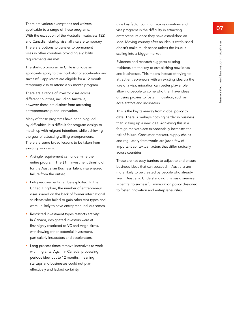There are various exemptions and waivers applicable to a range of these programs. With the exception of the Australian (subclass 132) and Canadian startup visa, all visa are temporary. There are options to transfer to permanent visas in other countries providing eligibility requirements are met.

The start-up program in Chile is unique as applicants apply to the incubator or accelerator and successful applicants are eligible for a 12 month temporary visa to attend a six month program.

There are a range of investor visas across different countries, including Australia, however these are distinct from attracting entrepreneurship and innovation.

Many of these programs have been plagued by difficulties. It is difficult for program design to match up with migrant intentions while achieving the goal of attracting willing entrepreneurs. There are some broad lessons to be taken from existing programs:

- A single requirement can undermine the entire program: The \$1m investment threshold for the Australian Business Talent visa ensured failure from the outset.
- Entry requirements can be exploited: In the United Kingdom, the number of entrepreneur visas soared on the back of former international students who failed to gain other visa types and were unlikely to have entrepreneurial outcomes.
- Restricted investment types restricts activity: In Canada, designated investors were at first highly restricted to VC and Angel firms, withdrawing other potential investment, particularly incubators and accelerators.
- Long process times remove incentives to work with migrants: Again in Canada, processing periods blew out to 12 months, meaning startups and businesses could not plan effectively and lacked certainty.

One key factor common across countries and visa programs is the difficulty in attracting entrepreneurs once they have established an idea. Moving country after an idea is established doesn't make much sense unless the issue is scaling into a bigger market.

Evidence and research suggests existing residents are the key to establishing new ideas and businesses. This means instead of trying to attract entrepreneurs with an existing idea via the lure of a visa, migration can better play a role in allowing people to come who then have ideas or using proxies to foster innovation, such as accelerators and incubators.

This is the key takeaway from global policy to date. There is perhaps nothing harder in business than scaling up a new idea. Achieving this in a foreign marketplace exponentially increases the risk of failure. Consumer markets, supply chains and regulatory frameworks are just a few of important contextual factors that differ radically across countries.

These are not easy barriers to adjust to and ensure business ideas that can succeed in Australia are more likely to be created by people who already live in Australia. Understanding this basic premise is central to successful immigration policy designed to foster innovation and entrepreneurship.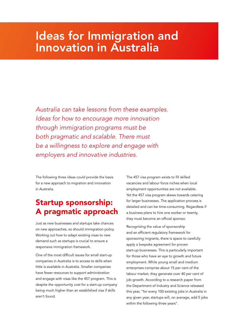## <span id="page-9-0"></span>Ideas for Immigration and Innovation in Australia

*Australia can take lessons from these examples. Ideas for how to encourage more innovation through immigration programs must be both pragmatic and scalable. There must be a willingness to explore and engage with employers and innovative industries.* 

The following three ideas could provide the basis for a new approach to migration and innovation in Australia.

#### Startup sponsorship: A pragmatic approach

Just as new businesses and startups take chances on new approaches, so should immigration policy. Working out how to adapt existing visas to new demand such as startups is crucial to ensure a responsive immigration framework.

One of the most difficult issues for small start-up companies in Australia is to access to skills when little is available in Australia. Smaller companies have fewer resources to support administration and engage with visas like the 457 program. This is despite the opportunity cost for a start-up company being much higher than an established visa if skills aren't found.

The 457 visa program exists to fill skilled vacancies and labour force niches when local employment opportunities are not available. Yet the 457 visa program skews towards catering for larger businesses. The application process is detailed and can be time-consuming. Regardless if a business plans to hire one worker or twenty, they must become an official sponsor.

Recognising the value of sponsorship and an efficient regulatory framework for sponsoring migrants, there is space to carefully apply a bespoke agreement for proven start-up businesses. This is particularly important for those who have an eye to growth and future employment. While young small and medium enterprises comprise about 15 per cent of the labour market, they generate over 40 per cent of job growth. According to a research paper from the Department of Industry and Science released this year, "for every 100 existing jobs in Australia in any given year, startups will, on average, add 5 jobs within the following three years".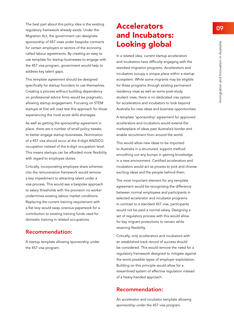<span id="page-10-0"></span>The best part about this policy idea is the existing regulatory framework already exists. Under the Migration Act, the government can designate sponsorship of 457 visas under bespoke contracts for certain employers or sectors of the economy, called labour agreements. By creating an easy to use template for startup businesses to engage with the 457 visa program, government would help to address key talent gaps.

This template agreement should be designed specifically for startup founders to use themselves. Creating a process without building dependency on professional advice firms would be pragmatic, allowing startup engagement. Focusing on STEM startups at first will road test this approach for those experiencing the most acute skills shortages.

As well as getting the sponsorship agreement in place, there are a number of small policy tweaks to better engage startup businesses. Nomination of a 457 visa should occur at the 4-digit ANZSCO occupation instead of the 6-digit occupation level. This means startups can be afforded more flexibility with regard to employee duties.

Critically, incorporating employee share schemes into the remuneration framework would remove a key impediment to attracting talent under a visa process. This would see a bespoke approach to salary thresholds with the provision no worker undermines existing labour market conditions. Replacing the current training requirement with a flat levy would swap onerous paperwork for a contribution to existing training funds used for domestic training in related occupations.

#### Recommendation:

A startup template allowing sponsorship under the 457 visa program.

### Accelerators and Incubators: Looking global

In a related idea, current startup accelerators and incubators have difficulty engaging with the standard migration programs. Accelerators and incubators occupy a unique place within a startup ecosystem. While some migrants may be eligible for these programs through existing permanent residency visas as well as some post-study student visas, there is no dedicated visa option for accelerators and incubators to look beyond Australia for new ideas and business opportunities.

A template 'sponsorship' agreement for approved accelerators and incubators would extend the marketplace of ideas past Australia's border and enable recruitment from around the world.

This would allow new ideas to be imported to Australia in a structured, support method smoothing out any bumps in gaining knowledge in a new environment. Certified accelerators and incubators would act as proxies to pick and choose exciting ideas and the people behind them.

The most important element for any template agreement would be recognising the difference between normal employees and participants in selected accelerator and incubator programs. In contrast to a standard 457 visa, participants would not be paid a normal salary. Designing a set of regulatory process with this would allow for key migrant protections to remain while retaining flexibility.

Critically, only accelerators and incubators with an established track record of success should be considered. This would remove the need for a regulatory framework designed to mitigate against the worst possible types of employer exploitation. Building on this principle would allow for a streamlined system of effective regulation instead of a heavy-handed approach.

#### Recommendation:

An accelerator and incubator template allowing sponsorship under the 457 visa program.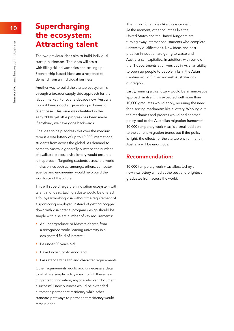### Supercharging the ecosystem: Attracting talent

The two previous ideas aim to build individual startup businesses. The ideas will assist with filling skilled vacancies and scaling up. Sponsorship‑based ideas are a response to demand from an individual business.

Another way to build the startup ecosystem is through a broader supply side approach for the labour market. For over a decade now, Australia has not been good at generating a domestic talent base. This issue was identified in the early 2000s yet little progress has been made. If anything, we have gone backwards.

One idea to help address this over the medium term is a visa lottery of up to 10,000 international students from across the global. As demand to come to Australia generally outstrips the number of available places, a visa lottery would ensure a fair approach. Targeting students across the world in disciplines such as, amongst others, computer science and engineering would help build the workforce of the future.

This will supercharge the innovation ecosystem with talent and ideas. Each graduate would be offered a four-year working visa without the requirement of a sponsoring employer. Instead of getting bogged down with visa criteria, program design should be simple with a select number of key requirements:

- **An undergraduate or Masters degree from** a recognised world-leading university in a designated field of interest;
- Be under 30 years old;
- Have English proficiency; and,
- Pass standard health and character requirements.

Other requirements would add unnecessary detail to what is a simple policy idea. To link these new migrants to innovation, anyone who can document a successful new business would be extended automatic permanent residency while other standard pathways to permanent residency would remain open.

The timing for an idea like this is crucial. At the moment, other countries like the United States and the United Kingdom are turning away international students who complete university qualifications. New ideas and best practice innovation are going to waste and Australia can capitalize. In addition, with some of the IT departments at universities in Asia, an ability to open up people to people links in the Asian Century would further enmesh Australia into our region.

Lastly, running a visa lottery would be an innovative approach in itself. It is expected well more than 10,000 graduates would apply, requiring the need for a sorting mechanism like a lottery. Working out the mechanics and process would add another policy tool to the Australian migration framework. 10,000 temporary work visas is a small addition to the current migration trends but if the policy is right, the effects for the startup environment in Australia will be enormous.

#### Recommendation:

10,000 temporary work visas allocated by a new visa lottery aimed at the best and brightest graduates from across the world.

<span id="page-11-0"></span>10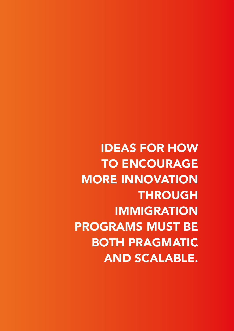IDEAS FOR HOW TO ENCOURAGE MORE INNOVATION THROUGH IMMIGRATION PROGRAMS MUST BE BOTH PRAGMATIC AND SCALABLE.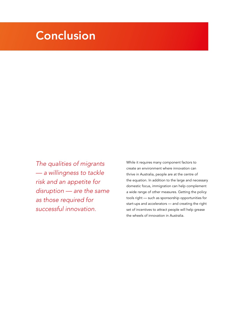# <span id="page-13-0"></span>Conclusion

*The qualities of migrants — a willingness to tackle risk and an appetite for disruption — are the same as those required for successful innovation.*

While it requires many component factors to create an environment where innovation can thrive in Australia, people are at the centre of the equation. In addition to the large and necessary domestic focus, immigration can help complement a wide range of other measures. Getting the policy tools right — such as sponsorship opportunities for start-ups and accelerators — and creating the right set of incentives to attract people will help grease the wheels of innovation in Australia.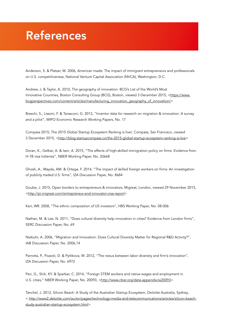# <span id="page-14-0"></span>References

Anderson, S. & Platzer, M. 2006, American made: The impact of immigrant entrepreneurs and professionals on U.S. competitiveness, National Venture Capital Association (NVCA), Washington, D.C.

Andrew, J. & Taylor, A. 2010, The geography of innovation: BCG's List of the World's Most Innovative Countries, Boston Consulting Group (BCG), Boston, viewed 3 December 2015, <https://www. bcgperspectives.com/content/articles/manufacturing\_innovation\_geography\_of\_innovation/>

Breschi, S., Lissoni, F. & Tarasconi, G. 2013, "Inventor data for research on migration & innovation: A survey and a pilot", WIPO Economic Research Working Papers, No. 17

Compass 2015, The 2015 Global Startup Ecosystem Ranking is live!, Compass, San Francisco, viewed 3 December 2015, <http://blog.startupcompass.co/the-2015-global-startup-ecosystem-ranking-is-live>

Doran, K., Gelber, A. & Isen, A. 2015, "The effects of high-skilled immigration policy on firms: Evidence from H-1B visa lotteries", NBER Working Paper, No. 20668

Ghosh, A., Mayda, AM. & Ortega, F. 2014, "The impact of skilled foreign workers on firms: An investigation of publicly traded U.S. firms", IZA Discussion Paper, No. 8684

Goube, J. 2015, Open borders to entrepreneurs & innovators, Migreat, London, viewed 29 November 2015, <http://pi.migreat.com/entrepreneur-and-innovator-visa-report>

Kerr, WR. 2008, "The ethnic composition of US investors", HBS Working Paper, No. 08-006

Nathan, M. & Lee, N. 2011, "Does cultural diversity help innovation in cities? Evidence from London firms", SERC Discussion Paper, No. 69

Niebuhr, A. 2006, "Migration and Innovation: Does Cultural Diversity Matter for Regional R&D Activity?", IAB Discussion Paper, No. 2006,14

Parrotta, P., Pozzoli, D. & Pytlikova, M. 2012, "The nexus between labor diversity and firm's innovation", IZA Discussion Paper, No. 6972

Peri, G., Shih, KY. & Sparber, C. 2014, "Foreign STEM workers and native wages and employment in U.S. cities," NBER Working Paper, No. 20093, <http://www.nber.org/data-appendix/w20093>

Tanchel, J. 2012, Silicon Beach: A Study of the Australian Startup Ecosystem, Deloitte Australia, Sydney, < http://www2.deloitte.com/au/en/pages/technology-media-and-telecommunications/articles/silicon-beachstudy-australian-startup-ecosystem.html>